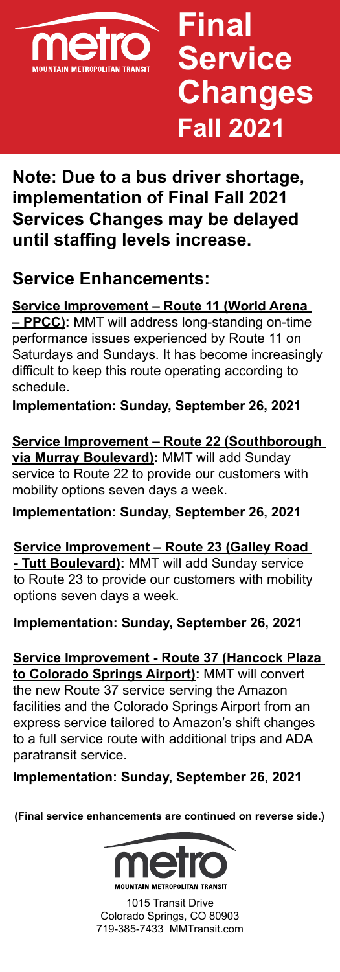

## **Final Service Changes Fall 2021**

## **Note: Due to a bus driver shortage, implementation of Final Fall 2021 Services Changes may be delayed until staffing levels increase.**

## **Service Enhancements:**

**Service Improvement – Route 11 (World Arena – PPCC):** MMT will address long-standing on-time performance issues experienced by Route 11 on Saturdays and Sundays. It has become increasingly difficult to keep this route operating according to schedule.

**Implementation: Sunday, September 26, 2021**

**Service Improvement – Route 22 (Southborough via Murray Boulevard):** MMT will add Sunday service to Route 22 to provide our customers with mobility options seven days a week.

**Implementation: Sunday, September 26, 2021**

**Service Improvement – Route 23 (Galley Road - Tutt Boulevard):** MMT will add Sunday service to Route 23 to provide our customers with mobility options seven days a week.

**Implementation: Sunday, September 26, 2021**

**Service Improvement - Route 37 (Hancock Plaza to Colorado Springs Airport):** MMT will convert the new Route 37 service serving the Amazon facilities and the Colorado Springs Airport from an express service tailored to Amazon's shift changes to a full service route with additional trips and ADA paratransit service.

**Implementation: Sunday, September 26, 2021**

**(Final service enhancements are continued on reverse side.)**



1015 Transit Drive Colorado Springs, CO 80903 719-385-7433 [MMTransit.com](https://coloradosprings.gov/mountain-metro)